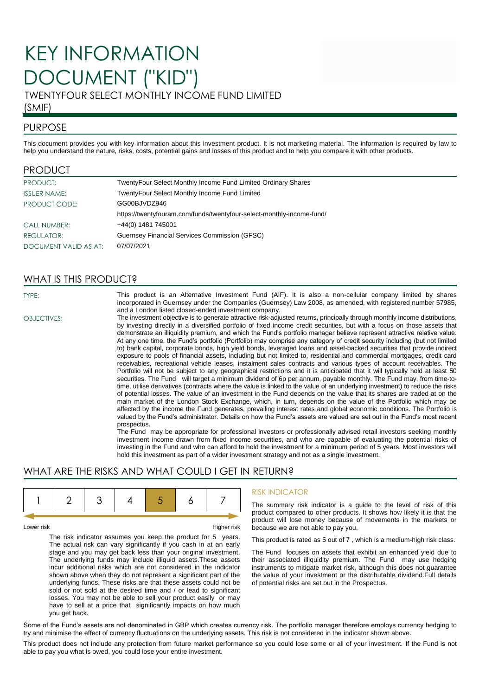# KEY INFORMATION DOCUMENT ("KID")

TWENTYFOUR SELECT MONTHLY INCOME FUND LIMITED

## (SMIF)

## PURPOSE

This document provides you with key information about this investment product. It is not marketing material. The information is required by law to help you understand the nature, risks, costs, potential gains and losses of this product and to help you compare it with other products.

### PRODUCT

| PRODUCT:              | TwentyFour Select Monthly Income Fund Limited Ordinary Shares         |
|-----------------------|-----------------------------------------------------------------------|
| <b>ISSUER NAME:</b>   | TwentyFour Select Monthly Income Fund Limited                         |
| PRODUCT CODE:         | GG00BJVDZ946                                                          |
|                       | https://twentyfouram.com/funds/twentyfour-select-monthly-income-fund/ |
| <b>CALL NUMBER:</b>   | +44(0) 1481 745001                                                    |
| <b>REGULATOR:</b>     | Guernsey Financial Services Commission (GFSC)                         |
| DOCUMENT VALID AS AT: | 07/07/2021                                                            |

# WHAT IS THIS PRODUCT?

TYPE: This product is an Alternative Investment Fund (AIF). It is also a non-cellular company limited by shares incorporated in Guernsey under the Companies (Guernsey) Law 2008, as amended, with registered number 57985, and a London listed closed-ended investment company.

OBJECTIVES: The investment objective is to generate attractive risk-adjusted returns, principally through monthly income distributions, by investing directly in a diversified portfolio of fixed income credit securities, but with a focus on those assets that demonstrate an illiquidity premium, and which the Fund's portfolio manager believe represent attractive relative value. At any one time, the Fund's portfolio (Portfolio) may comprise any category of credit security including (but not limited to) bank capital, corporate bonds, high yield bonds, leveraged loans and asset-backed securities that provide indirect exposure to pools of financial assets, including but not limited to, residential and commercial mortgages, credit card receivables, recreational vehicle leases, instalment sales contracts and various types of account receivables. The Portfolio will not be subject to any geographical restrictions and it is anticipated that it will typically hold at least 50 securities. The Fund will target a minimum dividend of 6p per annum, payable monthly. The Fund may, from time-totime, utilise derivatives (contracts where the value is linked to the value of an underlying investment) to reduce the risks of potential losses. The value of an investment in the Fund depends on the value that its shares are traded at on the main market of the London Stock Exchange, which, in turn, depends on the value of the Portfolio which may be affected by the income the Fund generates, prevailing interest rates and global economic conditions. The Portfolio is valued by the Fund's administrator. Details on how the Fund's assets are valued are set out in the Fund's most recent prospectus.

> The Fund may be appropriate for professional investors or professionally advised retail investors seeking monthly investment income drawn from fixed income securities, and who are capable of evaluating the potential risks of investing in the Fund and who can afford to hold the investment for a minimum period of 5 years. Most investors will hold this investment as part of a wider investment strategy and not as a single investment.

# WHAT ARE THE RISKS AND WHAT COULD I GET IN RETURN?

Lower risk Higher risk

The risk indicator assumes you keep the product for 5 years. The actual risk can vary significantly if you cash in at an early stage and you may get back less than your original investment. The underlying funds may include illiquid assets.These assets incur additional risks which are not considered in the indicator shown above when they do not represent a significant part of the underlying funds. These risks are that these assets could not be sold or not sold at the desired time and / or lead to significant losses. You may not be able to sell your product easily or may have to sell at a price that significantly impacts on how much you get back.

### RISK INDICATOR

The summary risk indicator is a guide to the level of risk of this product compared to other products. It shows how likely it is that the product will lose money because of movements in the markets or because we are not able to pay you.

This product is rated as 5 out of 7 , which is a medium-high risk class.

The Fund focuses on assets that exhibit an enhanced yield due to their associated illiquidity premium. The Fund may use hedging instruments to mitigate market risk, although this does not guarantee the value of your investment or the distributable dividend.Full details of potential risks are set out in the Prospectus.

Some of the Fund's assets are not denominated in GBP which creates currency risk. The portfolio manager therefore employs currency hedging to try and minimise the effect of currency fluctuations on the underlying assets. This risk is not considered in the indicator shown above.

This product does not include any protection from future market performance so you could lose some or all of your investment. If the Fund is not able to pay you what is owed, you could lose your entire investment.

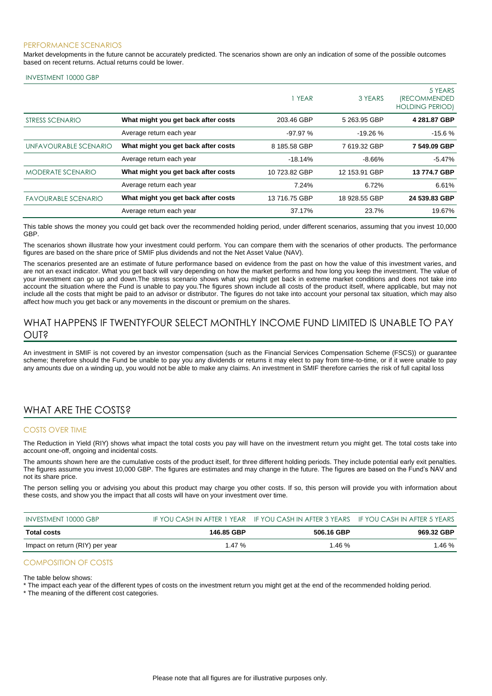#### PERFORMANCE SCENARIOS

Market developments in the future cannot be accurately predicted. The scenarios shown are only an indication of some of the possible outcomes based on recent returns. Actual returns could be lower.

#### INVESTMENT 10000 GBP

|                            |                                     | 1 YEAR        | 3 YEARS       | 5 YEARS<br><i><b>(RECOMMENDED</b></i><br><b>HOLDING PERIOD)</b> |
|----------------------------|-------------------------------------|---------------|---------------|-----------------------------------------------------------------|
| STRESS SCENARIO            | What might you get back after costs | 203.46 GBP    | 5 263.95 GBP  | 4 281.87 GBP                                                    |
|                            | Average return each year            | $-97.97%$     | $-19.26%$     | $-15.6%$                                                        |
| UNFAVOURABLE SCENARIO      | What might you get back after costs | 8 185.58 GBP  | 7619.32 GBP   | 7 549.09 GBP                                                    |
|                            | Average return each year            | $-18.14%$     | $-8.66%$      | $-5.47%$                                                        |
| <b>MODERATE SCENARIO</b>   | What might you get back after costs | 10 723.82 GBP | 12 153.91 GBP | 13 774.7 GBP                                                    |
|                            | Average return each year            | 7.24%         | 6.72%         | 6.61%                                                           |
| <b>FAVOURABLE SCENARIO</b> | What might you get back after costs | 13 716.75 GBP | 18 928.55 GBP | 24 539.83 GBP                                                   |
|                            | Average return each year            | 37.17%        | 23.7%         | 19.67%                                                          |

This table shows the money you could get back over the recommended holding period, under different scenarios, assuming that you invest 10,000 GBP.

The scenarios shown illustrate how your investment could perform. You can compare them with the scenarios of other products. The performance figures are based on the share price of SMIF plus dividends and not the Net Asset Value (NAV).

The scenarios presented are an estimate of future performance based on evidence from the past on how the value of this investment varies, and are not an exact indicator. What you get back will vary depending on how the market performs and how long you keep the investment. The value of your investment can go up and down.The stress scenario shows what you might get back in extreme market conditions and does not take into account the situation where the Fund is unable to pay you.The figures shown include all costs of the product itself, where applicable, but may not include all the costs that might be paid to an advisor or distributor. The figures do not take into account your personal tax situation, which may also affect how much you get back or any movements in the discount or premium on the shares.

## WHAT HAPPENS IF TWENTYFOUR SELECT MONTHLY INCOME FUND LIMITED IS UNABLE TO PAY OUT?

An investment in SMIF is not covered by an investor compensation (such as the Financial Services Compensation Scheme (FSCS)) or guarantee scheme; therefore should the Fund be unable to pay you any dividends or returns it may elect to pay from time-to-time, or if it were unable to pay any amounts due on a winding up, you would not be able to make any claims. An investment in SMIF therefore carries the risk of full capital loss

# WHAT ARE THE COSTS?

#### COSTS OVER TIME

The Reduction in Yield (RIY) shows what impact the total costs you pay will have on the investment return you might get. The total costs take into account one-off, ongoing and incidental costs.

The amounts shown here are the cumulative costs of the product itself, for three different holding periods. They include potential early exit penalties. The figures assume you invest 10,000 GBP. The figures are estimates and may change in the future. The figures are based on the Fund's NAV and not its share price.

The person selling you or advising you about this product may charge you other costs. If so, this person will provide you with information about these costs, and show you the impact that all costs will have on your investment over time.

| INVESTMENT 10000 GBP            |            | IF YOU CASH IN AFTER 1 YEAR IF YOU CASH IN AFTER 3 YEARS IF YOU CASH IN AFTER 5 YEARS |            |
|---------------------------------|------------|---------------------------------------------------------------------------------------|------------|
| <b>Total costs</b>              | 146.85 GBP | 506.16 GBP                                                                            | 969.32 GBP |
| Impact on return (RIY) per year | 1.47 %     | 1.46 %                                                                                | 1.46 %     |

#### COMPOSITION OF COSTS

The table below shows:

\* The impact each year of the different types of costs on the investment return you might get at the end of the recommended holding period.

\* The meaning of the different cost categories.